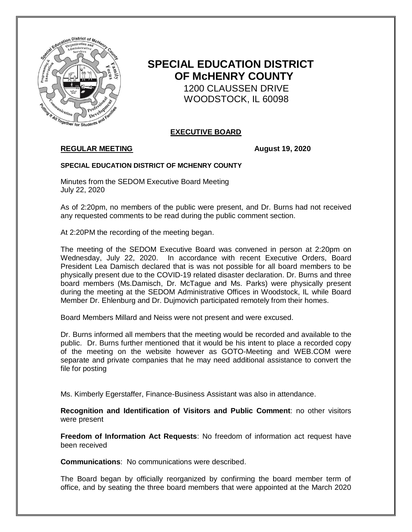

# **SPECIAL EDUCATION DISTRICT OF McHENRY COUNTY**

 1200 CLAUSSEN DRIVE WOODSTOCK, IL 60098

# **EXECUTIVE BOARD**

# **REGULAR MEETING August 19, 2020**

### **SPECIAL EDUCATION DISTRICT OF MCHENRY COUNTY**

Minutes from the SEDOM Executive Board Meeting July 22, 2020

As of 2:20pm, no members of the public were present, and Dr. Burns had not received any requested comments to be read during the public comment section.

At 2:20PM the recording of the meeting began.

The meeting of the SEDOM Executive Board was convened in person at 2:20pm on Wednesday, July 22, 2020. In accordance with recent Executive Orders, Board President Lea Damisch declared that is was not possible for all board members to be physically present due to the COVID-19 related disaster declaration. Dr. Burns and three board members (Ms.Damisch, Dr. McTague and Ms. Parks) were physically present during the meeting at the SEDOM Administrative Offices in Woodstock, IL while Board Member Dr. Ehlenburg and Dr. Dujmovich participated remotely from their homes.

Board Members Millard and Neiss were not present and were excused.

Dr. Burns informed all members that the meeting would be recorded and available to the public. Dr. Burns further mentioned that it would be his intent to place a recorded copy of the meeting on the website however as GOTO-Meeting and WEB.COM were separate and private companies that he may need additional assistance to convert the file for posting

Ms. Kimberly Egerstaffer, Finance-Business Assistant was also in attendance.

**Recognition and Identification of Visitors and Public Comment**: no other visitors were present

**Freedom of Information Act Requests**: No freedom of information act request have been received

**Communications**: No communications were described.

The Board began by officially reorganized by confirming the board member term of office, and by seating the three board members that were appointed at the March 2020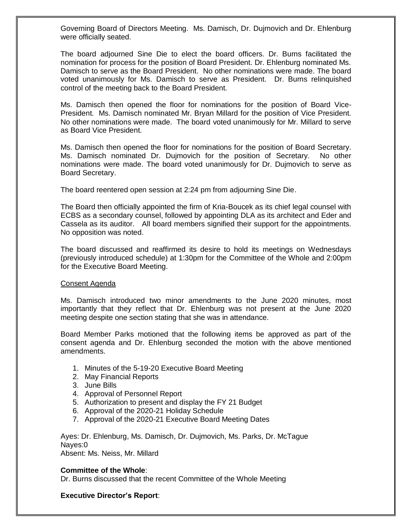Governing Board of Directors Meeting. Ms. Damisch, Dr. Dujmovich and Dr. Ehlenburg were officially seated.

The board adjourned Sine Die to elect the board officers. Dr. Burns facilitated the nomination for process for the position of Board President. Dr. Ehlenburg nominated Ms. Damisch to serve as the Board President. No other nominations were made. The board voted unanimously for Ms. Damisch to serve as President. Dr. Burns relinquished control of the meeting back to the Board President.

Ms. Damisch then opened the floor for nominations for the position of Board Vice-President. Ms. Damisch nominated Mr. Bryan Millard for the position of Vice President. No other nominations were made. The board voted unanimously for Mr. Millard to serve as Board Vice President.

Ms. Damisch then opened the floor for nominations for the position of Board Secretary. Ms. Damisch nominated Dr. Dujmovich for the position of Secretary. No other nominations were made. The board voted unanimously for Dr. Dujmovich to serve as Board Secretary.

The board reentered open session at 2:24 pm from adjourning Sine Die.

The Board then officially appointed the firm of Kria-Boucek as its chief legal counsel with ECBS as a secondary counsel, followed by appointing DLA as its architect and Eder and Cassela as its auditor. All board members signified their support for the appointments. No opposition was noted.

The board discussed and reaffirmed its desire to hold its meetings on Wednesdays (previously introduced schedule) at 1:30pm for the Committee of the Whole and 2:00pm for the Executive Board Meeting.

### Consent Agenda

Ms. Damisch introduced two minor amendments to the June 2020 minutes, most importantly that they reflect that Dr. Ehlenburg was not present at the June 2020 meeting despite one section stating that she was in attendance.

Board Member Parks motioned that the following items be approved as part of the consent agenda and Dr. Ehlenburg seconded the motion with the above mentioned amendments.

- 1. Minutes of the 5-19-20 Executive Board Meeting
- 2. May Financial Reports
- 3. June Bills
- 4. Approval of Personnel Report
- 5. Authorization to present and display the FY 21 Budget
- 6. Approval of the 2020-21 Holiday Schedule
- 7. Approval of the 2020-21 Executive Board Meeting Dates

Ayes: Dr. Ehlenburg, Ms. Damisch, Dr. Dujmovich, Ms. Parks, Dr. McTague Nayes:0

Absent: Ms. Neiss, Mr. Millard

### **Committee of the Whole**:

Dr. Burns discussed that the recent Committee of the Whole Meeting

## **Executive Director's Report**: